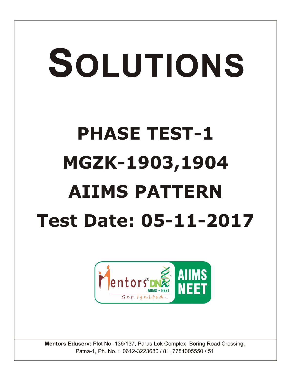## SOLUTIONS **PHASE TEST-1 MGZK-1903,1904 AIIMS PATTERN Test Date: 05-11-2017**



**Mentors Eduserv:** Plot No.-136/137, Parus Lok Complex, Boring Road Crossing, Patna-1, Ph. No. : 0612-3223680 / 81, 7781005550 / 51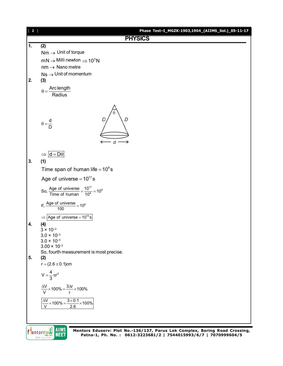

Mentors DNE **AIIMS NEET**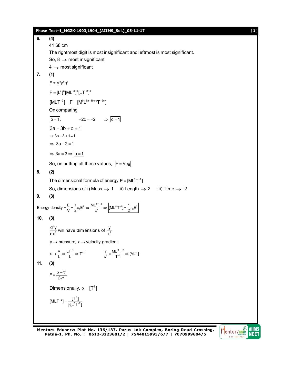**Phase Test–I\_MGZK-1903,1904\_(AIIMS\_Sol.)\_05-11-17** [ **3** ] **6. (4)** 41.68 cm The rightmost digit is most insignificant and leftmost is most significant. So,  $8 \rightarrow$  most insignificant  $4 \rightarrow$  most significant **7. (1)**  $F \propto V^a \rho^b q^c$  $F = [L^3]^a [ML^{-3}]^b [LT^{-2}]^c$  $[MLT^{-2}] = F = [M^bL^{3a-3b+c}T^{-2c}]$ On comparing  $\overline{b} = 1$ ,  $-2c = -2$   $\Rightarrow \overline{c} = 1$  $3a - 3b + c = 1$  $\Rightarrow$  3a - 3 + 1 = 1  $\Rightarrow$  3a - 2 = 1  $\Rightarrow$  3a = 3  $\Rightarrow$  a = 1 So, on putting all these values,  $F = V \rho g$ **8. (2)** The dimensional formula of energy  $E = [ML<sup>2</sup>T<sup>-2</sup>]$ So, dimensions of i) Mass  $\rightarrow$  1 ii) Length  $\rightarrow$  2 iii) Time  $\rightarrow$  -2 **9. (3)** Energy density  $=$   $\frac{E}{V}$   $=$   $\frac{1}{2}$   $\varepsilon_0$   $E^2$   $\Rightarrow$   $\frac{ML^2T^{-2}}{L^3}$   $\Rightarrow$   $\left[$   $ML^{-1}T^{-2}\right]$   $=$   $\frac{1}{2}$   $\varepsilon_0$   $E^2$  $=\frac{E}{V}=\frac{1}{2}\varepsilon_0E^2 \Rightarrow \frac{ML^2T^{-2}}{R} \Rightarrow |[ML^{-1}T^{-2}]=\frac{1}{2}\varepsilon_0E$ **10. (3)** 2  $\frac{d^2y}{dx^2}$  will have dimensions of  $\frac{y}{x^2}$  $y \rightarrow$  pressure,  $x \rightarrow$  velocity gradient  $x \rightarrow \frac{V}{L} \Rightarrow \frac{LT^{-1}}{L} \Rightarrow T^{-1}$  $\rightarrow \frac{V}{L} \Rightarrow \frac{LT^{-1}}{L} \Rightarrow T^{-1}$   $\frac{y}{x^2} = \frac{ML^{-1}T^{-2}}{T^{-2}} \Rightarrow [ML^{-1}]$  $=\frac{ML^{-1}T^{-2}}{T^{-2}} \Rightarrow [ML^{-1}]$ **11. (3)** 2  $F = \frac{\alpha - t}{\beta v^2}$  $=\frac{\alpha - t}{\beta v^2}$ Dimensionally,  $\alpha = [T^2]$  $[MLT^{-2}] = \frac{[T^2]}{\beta[L^2T^{-2}]}$  $^{-2}$ ] =  $\frac{1}{\beta L^2}$ 

**Mentors Eduserv: Plot No.-136/137, Parus Lok Complex, Boring Road Crossing, Patna-1, Ph. No. : 0612-3223681/2 | 7544015993/6/7 | 7070999604/5**

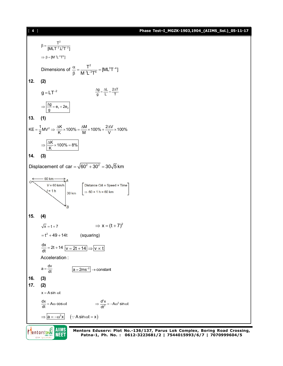## [ **4** ] **Phase Test–I\_MGZK-1903,1904\_(AIIMS\_Sol.)\_05-11-17**



Mentors DNE **AIIMS NEET** 

**Mentors Eduserv: Plot No.-136/137, Parus Lok Complex, Boring Road Crossing, Patna-1, Ph. No. : 0612-3223681/2 | 7544015993/6/7 | 7070999604/5**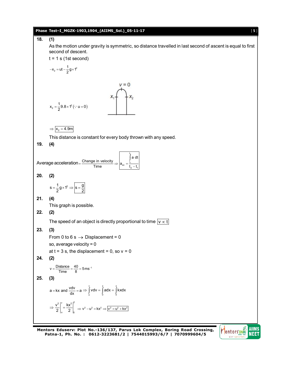

**Mentors Eduserv: Plot No.-136/137, Parus Lok Complex, Boring Road Crossing, Patna-1, Ph. No. : 0612-3223681/2 | 7544015993/6/7 | 7070999604/5**

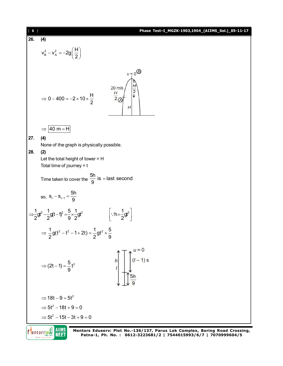| $\boxed{6}$ |                                                                                                                                          | Phase Test-I_MGZK-1903,1904_(AIIMS_Sol.)_05-11-17 |  |  |  |  |  |  |  |
|-------------|------------------------------------------------------------------------------------------------------------------------------------------|---------------------------------------------------|--|--|--|--|--|--|--|
| 26.         | (4)                                                                                                                                      |                                                   |  |  |  |  |  |  |  |
|             | $v_B^2 - v_A^2 = -2g\left(\frac{H}{2}\right)$                                                                                            |                                                   |  |  |  |  |  |  |  |
|             | $v = 0$<br>H<br>$20 \text{ m/s}$<br>$\overline{2}$<br>$rac{H}{2}$<br>$\Rightarrow$ 0 - 400 = -2 × 10 × $\frac{H}{2}$<br>Н                |                                                   |  |  |  |  |  |  |  |
|             | $ 40 \text{ m} = H $<br>$\Rightarrow$                                                                                                    |                                                   |  |  |  |  |  |  |  |
| 27.<br>28.  | (4)<br>None of the graph is physically possible.<br>(2)<br>Let the total height of tower = $H$<br>Total time of journey $= t$            |                                                   |  |  |  |  |  |  |  |
|             | Time taken to cover the $\frac{5h}{9}$ is = last second                                                                                  |                                                   |  |  |  |  |  |  |  |
|             | so, $S_t - S_{t-1} = \frac{5h}{9}$                                                                                                       |                                                   |  |  |  |  |  |  |  |
|             | $\Rightarrow \frac{1}{2}gt^2 - \frac{1}{2}gt-1)^2 = \frac{5}{9} \times \frac{1}{2}gt^2$<br>$\left \cdot\cdot h = \frac{1}{2}gt^2\right $ |                                                   |  |  |  |  |  |  |  |
|             | $\Rightarrow \frac{1}{2}g(t^2-t^2-1+2t) = \frac{1}{2}gt^2 \times \frac{5}{9}$                                                            |                                                   |  |  |  |  |  |  |  |
|             | $\int_{0}^{u=0}$ $(t-1)$ s<br>⇒ $(2t-1) = \frac{5}{9}t^2$<br>5h                                                                          |                                                   |  |  |  |  |  |  |  |
|             | $\Rightarrow$ 18t - 9 = 5t <sup>2</sup>                                                                                                  |                                                   |  |  |  |  |  |  |  |
|             | $\Rightarrow$ 5t <sup>2</sup> - 18t + 9 = 0                                                                                              |                                                   |  |  |  |  |  |  |  |
|             | $\Rightarrow$ 5t <sup>2</sup> - 15t - 3t + 9 = 0                                                                                         |                                                   |  |  |  |  |  |  |  |
|             |                                                                                                                                          |                                                   |  |  |  |  |  |  |  |

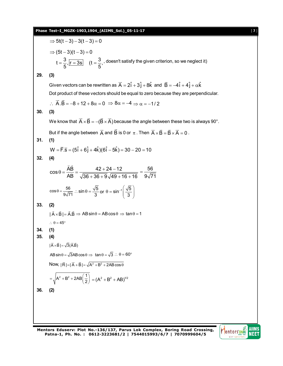## **Phase Test–I\_MGZK-1903,1904\_(AIIMS\_Sol.)\_05-11-17** [ **7** ]

⇒ 5t(t-3) - 3(t-3) = 0  
\n⇒ (5t-3)(t-3) = 0  
\nt = 
$$
\frac{3}{5}
$$
,  $\frac{1}{15-35}$  (t =  $\frac{3}{5}$ , doesn't satisfy the given criterion, so we neglect it)  
\n29. (3)  
\nGiven vectors can be rewritten as  $\vec{A} = 2\hat{i} + 3\hat{j} + 8\hat{k}$  and  $\vec{B} = -4\hat{i} + 4\hat{j} + \alpha\hat{k}$   
\nDot product of these vectors should be equal to zero because they are perpendicular.  
\n $\therefore \vec{A} \cdot \vec{B} = -8 + 12 + 8\alpha = 0 \Rightarrow 8\alpha = -4 \Rightarrow \alpha = -1/2$   
\n30. (3)  
\nWe know that  $\vec{A} \times \vec{B} = -(\vec{B} \times \vec{A})$  because the angle between these two is always 90°.  
\nBut if the angle between  $\vec{A}$  and  $\vec{B}$  is 0 or  $\pi$ . Then  $\vec{A} \times \vec{B} = \vec{B} \times \vec{A} = 0$ .  
\n31. (1)  
\n $W = \vec{F} \cdot \vec{S} = (5\hat{i} + 6\hat{j} + 4\hat{k})(6\hat{i} - 5\hat{k}) = 30 - 20 = 10$   
\n32. (4)  
\n $\cos \theta = \frac{\vec{AB}}{AB} = \frac{42 + 24 - 12}{\sqrt{36 + 36 + 9} \sqrt{49 + 16 + 16}} = \frac{56}{9\sqrt{71}}$   
\n $\cos \theta = \frac{56}{9\sqrt{71}}$ .  $\therefore \sin \theta = \frac{\sqrt{5}}{3}$  or  $\theta = \sin^{-1}(\frac{\sqrt{5}}{3})$   
\n33. (2)  
\n $|\vec{A} \times \vec{B}| = \vec{A} \cdot \vec{B} \Rightarrow \text{AB} \sin \theta = \text{AB} \cos \theta \Rightarrow \tan \theta = 1$   
\n $\therefore \theta = 45^\circ$   
\n34. (1)  
\n35. (4)  
\n $|\vec{A} \times \vec{B}| = \sqrt{3}(\vec{A} \cdot \vec{B})$   
\n<

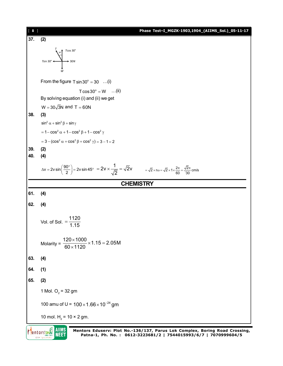

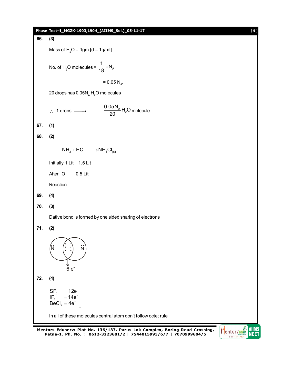

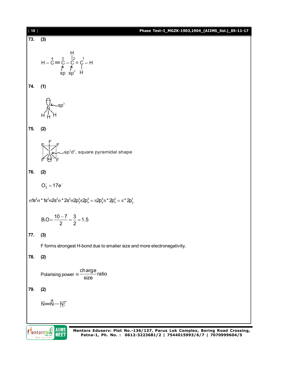

**Patna-1, Ph. No. : 0612-3223681/2 | 7544015993/6/7 | 7070999604/5**

**NEET**